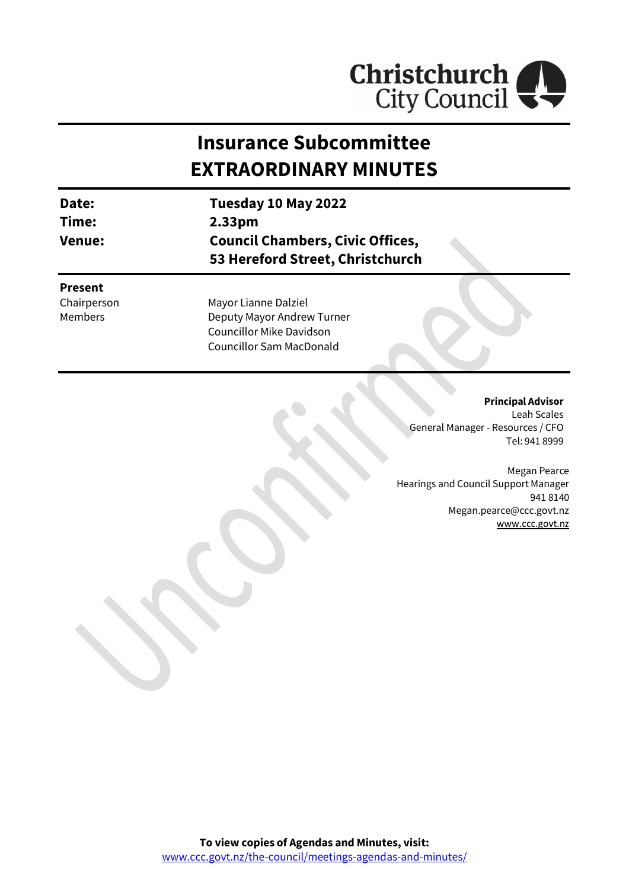

# **Insurance Subcommittee EXTRAORDINARY MINUTES**

| Date:<br>Time:<br><b>Venue:</b>                 | Tuesday 10 May 2022<br>2.33 <sub>pm</sub><br><b>Council Chambers, Civic Offices,</b><br>53 Hereford Street, Christchurch |
|-------------------------------------------------|--------------------------------------------------------------------------------------------------------------------------|
| <b>Present</b><br>Chairperson<br><b>Members</b> | Mayor Lianne Dalziel<br>Deputy Mayor Andrew Turner<br><b>Councillor Mike Davidson</b><br><b>Councillor Sam MacDonald</b> |

#### **Principal Advisor**

Leah Scales General Manager - Resources / CFO Tel: 941 8999

Megan Pearce Hearings and Council Support Manager 941 8140 Megan.pearce@ccc.govt.nz [www.ccc.govt.nz](http://www.ccc.govt.nz/)